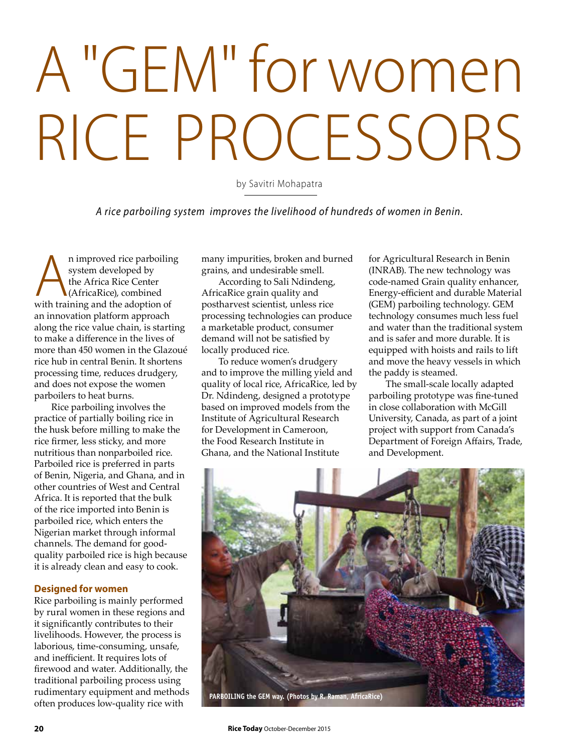## A "GEM" for women RICE PROCESSORS

by Savitri Mohapatra

*A rice parboiling system improves the livelihood of hundreds of women in Benin.*

**A**n improved rice parboiling<br>system developed by<br>the Africa Rice Center<br>(AfricaRice), combined<br>with training and the adoption of system developed by the Africa Rice Center (AfricaRice), combined an innovation platform approach along the rice value chain, is starting to make a difference in the lives of more than 450 women in the Glazoué rice hub in central Benin. It shortens processing time, reduces drudgery, and does not expose the women parboilers to heat burns.

Rice parboiling involves the practice of partially boiling rice in the husk before milling to make the rice firmer, less sticky, and more nutritious than nonparboiled rice. Parboiled rice is preferred in parts of Benin, Nigeria, and Ghana, and in other countries of West and Central Africa. It is reported that the bulk of the rice imported into Benin is parboiled rice, which enters the Nigerian market through informal channels. The demand for goodquality parboiled rice is high because it is already clean and easy to cook.

## **Designed for women**

Rice parboiling is mainly performed by rural women in these regions and it significantly contributes to their livelihoods. However, the process is laborious, time-consuming, unsafe, and inefficient. It requires lots of firewood and water. Additionally, the traditional parboiling process using rudimentary equipment and methods often produces low-quality rice with

many impurities, broken and burned grains, and undesirable smell.

According to Sali Ndindeng, AfricaRice grain quality and postharvest scientist, unless rice processing technologies can produce a marketable product, consumer demand will not be satisfied by locally produced rice.

To reduce women's drudgery and to improve the milling yield and quality of local rice, AfricaRice, led by Dr. Ndindeng, designed a prototype based on improved models from the Institute of Agricultural Research for Development in Cameroon, the Food Research Institute in Ghana, and the National Institute

for Agricultural Research in Benin (INRAB). The new technology was code-named Grain quality enhancer, Energy-efficient and durable Material (GEM) parboiling technology. GEM technology consumes much less fuel and water than the traditional system and is safer and more durable. It is equipped with hoists and rails to lift and move the heavy vessels in which the paddy is steamed.

The small-scale locally adapted parboiling prototype was fine-tuned in close collaboration with McGill University, Canada, as part of a joint project with support from Canada's Department of Foreign Affairs, Trade, and Development.